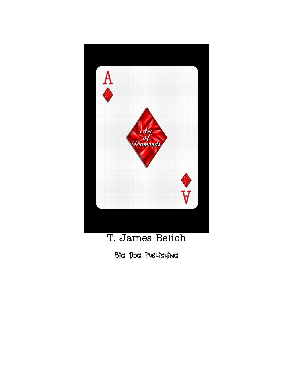

T. James Belich

Big Dog Publishing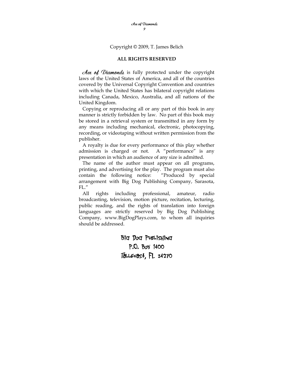Copyright © 2009, T. James Belich

#### **ALL RIGHTS RESERVED**

Hee of Diamonds is fully protected under the copyright laws of the United States of America, and all of the countries covered by the Universal Copyright Convention and countries with which the United States has bilateral copyright relations including Canada, Mexico, Australia, and all nations of the United Kingdom.

 Copying or reproducing all or any part of this book in any manner is strictly forbidden by law. No part of this book may be stored in a retrieval system or transmitted in any form by any means including mechanical, electronic, photocopying, recording, or videotaping without written permission from the publisher.

 A royalty is due for every performance of this play whether admission is charged or not. A "performance" is any presentation in which an audience of any size is admitted.

 The name of the author must appear on all programs, printing, and advertising for the play. The program must also contain the following notice: "Produced by special arrangement with Big Dog Publishing Company, Sarasota, FL."

 All rights including professional, amateur, radio broadcasting, television, motion picture, recitation, lecturing, public reading, and the rights of translation into foreign languages are strictly reserved by Big Dog Publishing Company, www.BigDogPlays.com, to whom all inquiries should be addressed.

> Big Dog Publishing P.O. Box 1400 Tallevast, FL 34270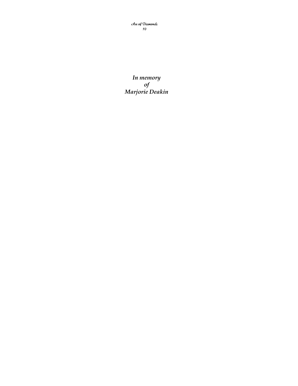Ace of Diamonds 10

*In memory of Marjorie Deakin*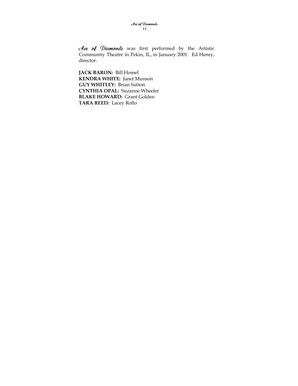dee of Diamonds was first performed by the Artistic Community Theatre in Pekin, IL, in January 2001: Ed Henry, director.

**JACK BARON:** Bill Homel **KENDRA WHITE:** Janet Munson **GUY WHITLEY:** Brian Sutton **CYNTHIA OPAL:** Suzanne Wheeler **BLAKE HOWARD:** Grant Golden **TARA REED:** Lacey Rollo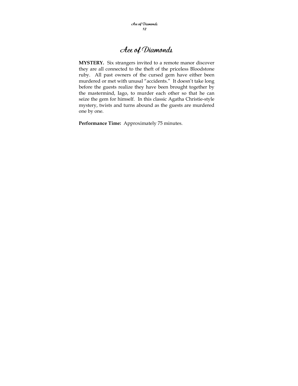## Ace of Diamonds

**MYSTERY.** Six strangers invited to a remote manor discover they are all connected to the theft of the priceless Bloodstone ruby. All past owners of the cursed gem have either been murdered or met with unusal "accidents." It doesn't take long before the guests realize they have been brought together by the mastermind, Iago, to murder each other so that he can seize the gem for himself. In this classic Agatha Christie-style mystery, twists and turns abound as the guests are murdered one by one.

**Performance Time:** Approximately 75 minutes.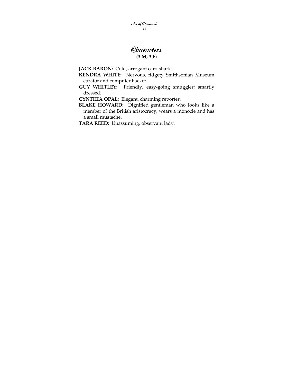Ace of Diamonds 13

### **Characters (3 M, 3 F)**

**JACK BARON:** Cold, arrogant card shark.

**KENDRA WHITE:** Nervous, fidgety Smithsonian Museum curator and computer hacker.

**GUY WHITLEY:** Friendly, easy-going smuggler; smartly dressed.

**CYNTHIA OPAL:** Elegant, charming reporter.

**BLAKE HOWARD:** Dignified gentleman who looks like a member of the British aristocracy; wears a monocle and has a small mustache.

**TARA REED:** Unassuming, observant lady.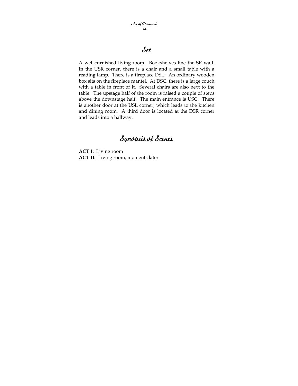## Set

A well-furnished living room. Bookshelves line the SR wall. In the USR corner, there is a chair and a small table with a reading lamp. There is a fireplace DSL. An ordinary wooden box sits on the fireplace mantel. At DSC, there is a large couch with a table in front of it. Several chairs are also next to the table. The upstage half of the room is raised a couple of steps above the downstage half. The main entrance is USC. There is another door at the USL corner, which leads to the kitchen and dining room. A third door is located at the DSR corner and leads into a hallway.

## Synopsis of Scenes

**ACT I:** Living room **ACT II:** Living room, moments later.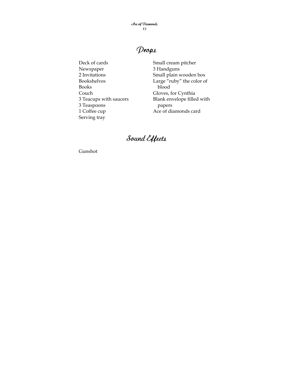Ace of Diamonds 15

## Props

Deck of cards Newspaper 2 Invitations Bookshelves Books Couch 3 Teacups with saucers 3 Teaspoons 1 Coffee cup Serving tray

Small cream pitcher 3 Handguns Small plain wooden box Large "ruby" the color of blood Gloves, for Cynthia Blank envelope filled with papers Ace of diamonds card

# Sound Effects

Gunshot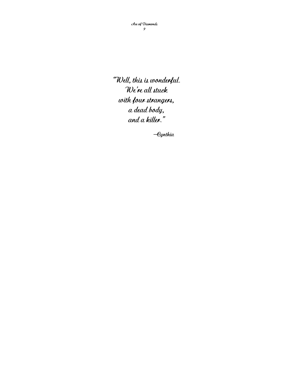"Well, this is wonderful. We're all stuck with four strangers, a dead body, and a killer."

—Cynthia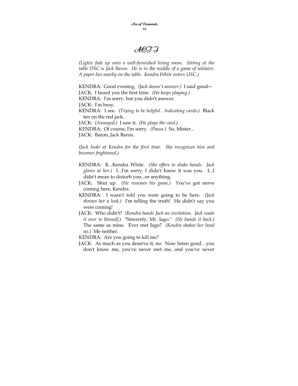Ace of Diamonds 10

### ACT I

*(Lights fade up onto a well-furnished living room. Sitting at the table DSC is Jack Baron. He is in the middle of a game of solitaire. A paper lies nearby on the table. Kendra White enters USC.)* 

KENDRA: Good evening. *(Jack doesn't answer.)* I said good― JACK: I heard you the first time. *(He keeps playing.)*  KENDRA: I'm sorry, but you didn't answer. JACK: I'm busy. KENDRA: I see. *(Trying to be helpful. Indicating cards.)* Black ten on the red jack. JACK: *(Annoyed.)* I saw it. *(He plays the card.)*  KENDRA: Of course, I'm sorry. *(Pause.)* So, Mister... JACK: Baron, Jack Baron.

*(Jack looks at Kendra for the first time. She recognizes him and becomes frightened.)* 

- KENDRA: K...Kendra White. *(She offers to shake hands. Jack glares at her.)* I...I'm sorry, I didn't know it was you. I...I didn't mean to disturb you...or anything.
- JACK: Shut up. *(He resumes his game.)* You've got nerve coming here, Kendra.
- KENDRA: I wasn't told you were going to be here. *(Jack throws her a look.)* I'm telling the truth! He didn't say you were coming!
- JACK: Who didn't? *(Kendra hands Jack an invitation. Jack reads it over to himself.)* "Sincerely, Mr. Iago." *(He hands it back.)* The same as mine. Ever met Iago? *(Kendra shakes her head no.)* Me neither.
- KENDRA: Are you going to kill me?
- JACK: As much as you deserve it, no. Now listen good…you don't know me, you've never met me, and you've never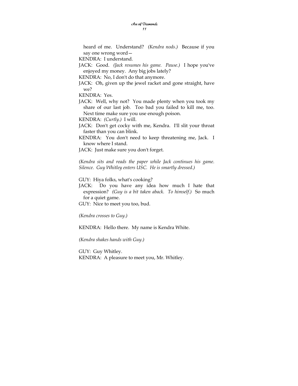heard of me. Understand? *(Kendra nods.)* Because if you say one wrong word—

KENDRA: I understand.

- JACK: Good. *(Jack resumes his game. Pause.)* I hope you've enjoyed my money. Any big jobs lately?
- KENDRA: No, I don't do that anymore.
- JACK: Oh, given up the jewel racket and gone straight, have we?

KENDRA: Yes.

JACK: Well, why not? You made plenty when you took my share of our last job. Too bad you failed to kill me, too. Next time make sure you use enough poison.

KENDRA: *(Curtly.)* I will.

- JACK: Don't get cocky with me, Kendra. I'll slit your throat faster than you can blink.
- KENDRA: You don't need to keep threatening me, Jack. I know where I stand.

JACK: Just make sure you don't forget.

*(Kendra sits and reads the paper while Jack continues his game. Silence. Guy Whitley enters USC. He is smartly dressed.)* 

GUY: Hiya folks, what's cooking?

JACK: Do you have any idea how much I hate that expression? *(Guy is a bit taken aback. To himself.)* So much for a quiet game.

GUY: Nice to meet you too, bud.

*(Kendra crosses to Guy.)* 

KENDRA: Hello there. My name is Kendra White.

*(Kendra shakes hands with Guy.)* 

GUY: Guy Whitley. KENDRA: A pleasure to meet you, Mr. Whitley.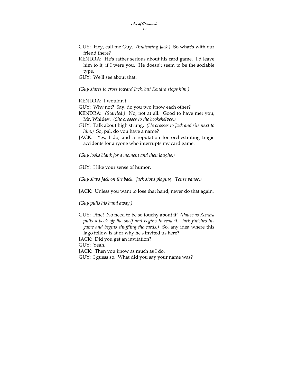- GUY: Hey, call me Guy. *(Indicating Jack.)* So what's with our friend there?
- KENDRA: He's rather serious about his card game. I'd leave him to it, if I were you. He doesn't seem to be the sociable type.

GUY: We'll see about that.

*(Guy starts to cross toward Jack, but Kendra stops him.)* 

KENDRA: I wouldn't.

GUY: Why not? Say, do you two know each other?

- KENDRA: *(Startled.)* No, not at all. Good to have met you, Mr. Whitley. *(She crosses to the bookshelves.)*
- GUY: Talk about high strung. *(He crosses to Jack and sits next to him.)* So, pal, do you have a name?
- JACK: Yes, I do, and a reputation for orchestrating tragic accidents for anyone who interrupts my card game.

*(Guy looks blank for a moment and then laughs.)* 

GUY: I like your sense of humor.

*(Guy slaps Jack on the back. Jack stops playing. Tense pause.)* 

JACK: Unless you want to lose that hand, never do that again.

*(Guy pulls his hand away.)* 

GUY: Fine! No need to be so touchy about it! *(Pause as Kendra pulls a book off the shelf and begins to read it. Jack finishes his game and begins shuffling the cards.)* So, any idea where this Iago fellow is at or why he's invited us here?

JACK: Did you get an invitation?

GUY: Yeah.

JACK: Then you know as much as I do.

GUY: I guess so. What did you say your name was?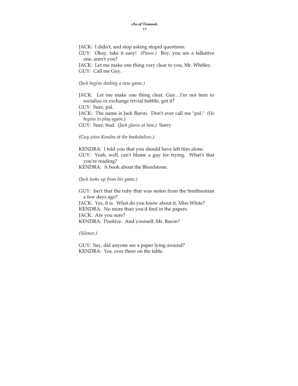JACK: I didn't, and stop asking stupid questions. GUY: Okay, take it easy! *(Pause.)* Boy, you are a talkative one, aren't you? JACK: Let me make one thing very clear to you, Mr. Whitley. GUY: Call me Guy.

#### *(Jack begins dealing a new game.)*

JACK: Let me make one thing clear, Guy…I'm not here to socialize or exchange trivial babble, got it? GUY: Sure, pal.

JACK: The name is Jack Baron. Don't ever call me "pal." *(He begins to play again.)* 

GUY: Sure, bud. *(Jack glares at him.)* Sorry.

#### *(Guy joins Kendra at the bookshelves.)*

KENDRA: I told you that you should have left him alone. GUY: Yeah, well, can't blame a guy for trying. What's that you're reading? KENDRA: A book about the Bloodstone.

#### *(Jack looks up from his game.)*

GUY: Isn't that the ruby that was stolen from the Smithsonian a few days ago? JACK: Yes, it is. What do you know about it, Miss White? KENDRA: No more than you'd find in the papers. JACK: Are you sure? KENDRA: Positive. And yourself, Mr. Baron?

*(Silence.)* 

GUY: Say, did anyone see a paper lying around? KENDRA: Yes, over there on the table.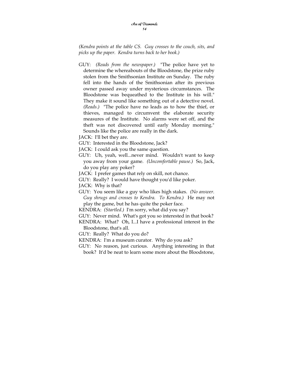*(Kendra points at the table CS. Guy crosses to the couch, sits, and picks up the paper. Kendra turns back to her book.)* 

GUY: *(Reads from the newspaper.)* "The police have yet to determine the whereabouts of the Bloodstone, the prize ruby stolen from the Smithsonian Institute on Sunday. The ruby fell into the hands of the Smithsonian after its previous owner passed away under mysterious circumstances. The Bloodstone was bequeathed to the Institute in his will." They make it sound like something out of a detective novel. *(Reads.)* "The police have no leads as to how the thief, or thieves, managed to circumvent the elaborate security measures of the Institute. No alarms were set off, and the theft was not discovered until early Monday morning." Sounds like the police are really in the dark.

JACK: I'll bet they are.

- GUY: Interested in the Bloodstone, Jack?
- JACK: I could ask you the same question.
- GUY: Uh, yeah, well...never mind. Wouldn't want to keep you away from your game. *(Uncomfortable pause.)* So, Jack, do you play any poker?
- JACK: I prefer games that rely on skill, not chance.
- GUY: Really? I would have thought you'd like poker.
- JACK: Why is that?
- GUY: You seem like a guy who likes high stakes. *(No answer. Guy shrugs and crosses to Kendra. To Kendra.)* He may not play the game, but he has quite the poker face.
- KENDRA: *(Startled.)* I'm sorry, what did you say?
- GUY: Never mind. What's got you so interested in that book?
- KENDRA: What? Oh, I...I have a professional interest in the Bloodstone, that's all.
- GUY: Really? What do you do?
- KENDRA: I'm a museum curator. Why do you ask?
- GUY: No reason, just curious. Anything interesting in that book? It'd be neat to learn some more about the Bloodstone,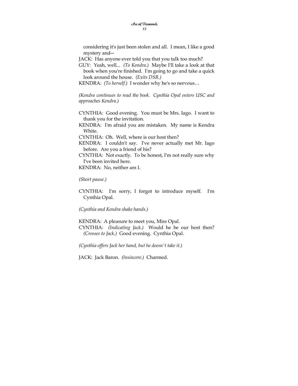considering it's just been stolen and all. I mean, I like a good mystery and―

JACK: Has anyone ever told you that you talk too much?

GUY: Yeah, well... *(To Kendra.)* Maybe I'll take a look at that book when you're finished. I'm going to go and take a quick look around the house. *(Exits DSR.)* 

KENDRA: *(To herself.)* I wonder why he's so nervous…

*(Kendra continues to read the book. Cynthia Opal enters USC and approaches Kendra.)* 

- CYNTHIA: Good evening. You must be Mrs. Iago. I want to thank you for the invitation.
- KENDRA: I'm afraid you are mistaken. My name is Kendra White.

CYNTHIA: Oh. Well, where is our host then?

KENDRA: I couldn't say. I've never actually met Mr. Iago before. Are you a friend of his?

CYNTHIA: Not exactly. To be honest, I'm not really sure why I've been invited here.

KENDRA: No, neither am I.

*(Short pause.)* 

CYNTHIA: I'm sorry, I forgot to introduce myself. I'm Cynthia Opal.

*(Cynthia and Kendra shake hands.)* 

KENDRA: A pleasure to meet you, Miss Opal. CYNTHIA: *(Indicating Jack.)* Would he be our host then? *(Crosses to Jack.)* Good evening. Cynthia Opal.

*(Cynthia offers Jack her hand, but he doesn't take it.)* 

JACK: Jack Baron. *(Insincere.)* Charmed.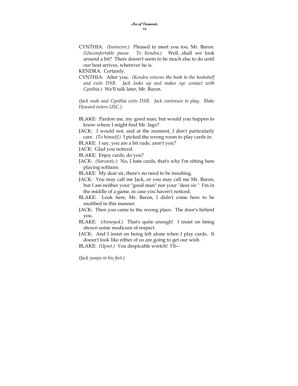CYNTHIA: *(Insincere.)* Pleased to meet you too, Mr. Baron. *(Uncomfortable pause. To Kendra.)* Well...shall we look around a bit? There doesn't seem to be much else to do until our host arrives, wherever he is.

KENDRA: Certainly.

CYNTHIA: After you. *(Kendra returns the book to the bookshelf and exits DSR. Jack looks up and makes eye contact with Cynthia.)* We'll talk later, Mr. Baron.

*(Jack nods and Cynthia exits DSR. Jack continues to play. Blake Howard enters USC.)* 

BLAKE: Pardon me, my good man, but would you happen to know where I might find Mr. Iago?

JACK: I would not, and at the moment, I don't particularly care. *(To himself.)* I picked the wrong room to play cards in.

BLAKE: I say, you are a bit rude, aren't you?

JACK: Glad you noticed.

BLAKE: Enjoy cards, do you?

JACK: *(Sarcastic.)* No, I hate cards, that's why I'm sitting here playing solitaire.

BLAKE: My dear sir, there's no need to be insulting.

- JACK: You may call me Jack, or you may call me Mr. Baron, but I am neither your "good man" nor your "dear sir." I'm in the middle of a game, in case you haven't noticed.
- BLAKE: Look here, Mr. Baron, I didn't come here to be snubbed in this manner.
- JACK: Then you came to the wrong place. The door's behind you.
- BLAKE: *(Annoyed.)* That's quite enough! I insist on being shown some modicum of respect.

JACK: And I insist on being left alone when I play cards. It doesn't look like either of us are going to get our wish.

BLAKE: *(Upset.)* You despicable wretch! I'll―

*(Jack jumps to his feet.)*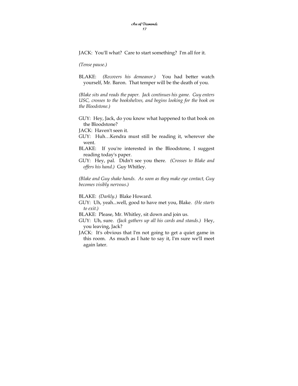JACK: You'll what? Care to start something? I'm all for it.

*(Tense pause.)* 

BLAKE: *(Recovers his demeanor.)* You had better watch yourself, Mr. Baron. That temper will be the death of you.

*(Blake sits and reads the paper. Jack continues his game. Guy enters USC, crosses to the bookshelves, and begins looking for the book on the Bloodstone.)* 

GUY: Hey, Jack, do you know what happened to that book on the Bloodstone?

JACK: Haven't seen it.

GUY: Huh…Kendra must still be reading it, wherever she went.

- BLAKE: If you're interested in the Bloodstone, I suggest reading today's paper.
- GUY: Hey, pal. Didn't see you there. *(Crosses to Blake and offers his hand.)* Guy Whitley.

*(Blake and Guy shake hands. As soon as they make eye contact, Guy becomes visibly nervous.)* 

BLAKE: *(Darkly.)* Blake Howard.

GUY: Uh, yeah...well, good to have met you, Blake. *(He starts to exit.)* 

BLAKE: Please, Mr. Whitley, sit down and join us.

- GUY: Uh, sure. *(Jack gathers up all his cards and stands.)* Hey, you leaving, Jack?
- JACK: It's obvious that I'm not going to get a quiet game in this room. As much as I hate to say it, I'm sure we'll meet again later.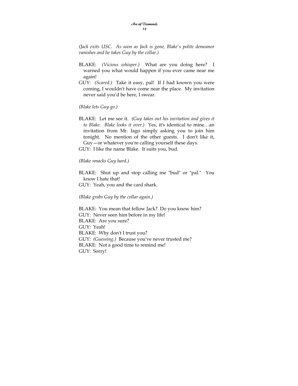*(Jack exits USC. As soon as Jack is gone, Blake's polite demeanor vanishes and he takes Guy by the collar.)* 

- BLAKE: *(Vicious whisper.)* What are you doing here? I warned you what would happen if you ever came near me again!
- GUY: *(Scared.)* Take it easy, pal! If I had known you were coming, I wouldn't have come near the place. My invitation never said you'd be here, I swear.

*(Blake lets Guy go.)* 

BLAKE: Let me see it. *(Guy takes out his invitation and gives it to Blake. Blake looks it over.)* Yes, it's identical to mine…an invitation from Mr. Iago simply asking you to join him tonight. No mention of the other guests. I don't like it, Guy—or whatever you're calling yourself these days. GUY: I like the name Blake. It suits you, bud.

### *(Blake smacks Guy hard.)*

BLAKE: Shut up and stop calling me "bud" or "pal." You know I hate that! GUY: Yeah, you and the card shark.

### *(Blake grabs Guy by the collar again.)*

BLAKE: You mean that fellow Jack? Do you know him? GUY: Never seen him before in my life! BLAKE: Are you sure? GUY: Yeah! BLAKE: Why don't I trust you? GUY: *(Guessing.)* Because you've never trusted me? BLAKE: Not a good time to remind me! GUY: Sorry!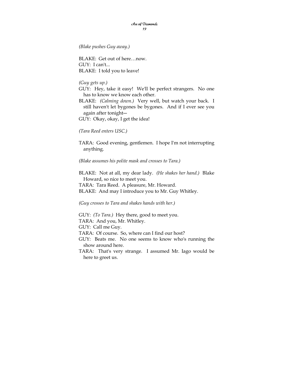*(Blake pushes Guy away.)* 

BLAKE: Get out of here…now. GUY: I can't... BLAKE: I told you to leave!

*(Guy gets up.)* 

GUY: Hey, take it easy! We'll be perfect strangers. No one has to know we know each other.

BLAKE: *(Calming down.)* Very well, but watch your back. I still haven't let bygones be bygones. And if I ever see you again after tonight―

GUY: Okay, okay, I get the idea!

*(Tara Reed enters USC.)* 

TARA: Good evening, gentlemen. I hope I'm not interrupting anything.

*(Blake assumes his polite mask and crosses to Tara.)* 

BLAKE: Not at all, my dear lady. *(He shakes her hand.)* Blake Howard, so nice to meet you. TARA: Tara Reed. A pleasure, Mr. Howard. BLAKE: And may I introduce you to Mr. Guy Whitley.

*(Guy crosses to Tara and shakes hands with her.)* 

GUY: *(To Tara.)* Hey there, good to meet you. TARA: And you, Mr. Whitley. GUY: Call me Guy. TARA: Of course. So, where can I find our host? GUY: Beats me. No one seems to know who's running the show around here. TARA: That's very strange. I assumed Mr. Iago would be here to greet us.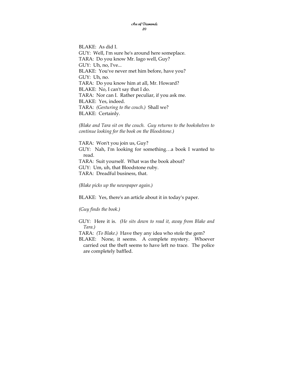BLAKE: As did I. GUY: Well, I'm sure he's around here someplace. TARA: Do you know Mr. Iago well, Guy? GUY: Uh, no, I've... BLAKE: You've never met him before, have you? GUY: Uh, no. TARA: Do you know him at all, Mr. Howard? BLAKE: No, I can't say that I do. TARA: Nor can I. Rather peculiar, if you ask me. BLAKE: Yes, indeed. TARA: *(Gesturing to the couch.)* Shall we? BLAKE: Certainly.

*(Blake and Tara sit on the couch. Guy returns to the bookshelves to continue looking for the book on the Bloodstone.)* 

TARA: Won't you join us, Guy? GUY: Nah, I'm looking for something…a book I wanted to read. TARA: Suit yourself. What was the book about? GUY: Um, uh, that Bloodstone ruby. TARA: Dreadful business, that.

*(Blake picks up the newspaper again.)* 

BLAKE: Yes, there's an article about it in today's paper.

*(Guy finds the book.)* 

GUY: Here it is. *(He sits down to read it, away from Blake and Tara.)* 

TARA: *(To Blake.)* Have they any idea who stole the gem?

BLAKE: None, it seems. A complete mystery. Whoever carried out the theft seems to have left no trace. The police are completely baffled.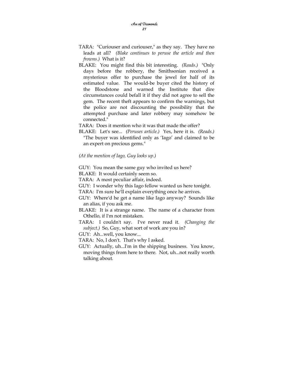- TARA: "Curiouser and curiouser," as they say. They have no leads at all? *(Blake continues to peruse the article and then frowns.)* What is it?
- BLAKE: You might find this bit interesting. *(Reads.)* "Only days before the robbery, the Smithsonian received a mysterious offer to purchase the jewel for half of its estimated value. The would-be buyer cited the history of the Bloodstone and warned the Institute that dire circumstances could befall it if they did not agree to sell the gem. The recent theft appears to confirm the warnings, but the police are not discounting the possibility that the attempted purchase and later robbery may somehow be connected."
- TARA: Does it mention who it was that made the offer?
- BLAKE: Let's see... *(Peruses article.)* Yes, here it is. *(Reads.)* "The buyer was identified only as 'Iago' and claimed to be an expert on precious gems."
- *(At the mention of Iago, Guy looks up.)*

GUY: You mean the same guy who invited us here?

BLAKE: It would certainly seem so.

TARA: A most peculiar affair, indeed.

GUY: I wonder why this Iago fellow wanted us here tonight.

TARA: I'm sure he'll explain everything once he arrives.

- GUY: Where'd he get a name like Iago anyway? Sounds like an alias, if you ask me.
- BLAKE: It is a strange name. The name of a character from Othello, if I'm not mistaken.
- TARA: I couldn't say. I've never read it. *(Changing the subject.)* So, Guy, what sort of work are you in?

GUY: Ah...well, you know...

TARA: No, I don't. That's why I asked.

GUY: Actually, uh...I'm in the shipping business. You know, moving things from here to there. Not, uh...not really worth talking about.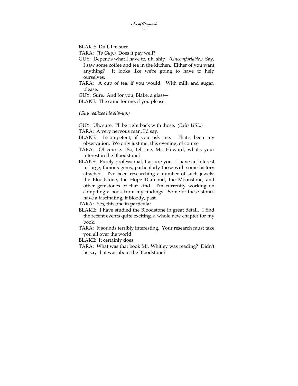BLAKE: Dull, I'm sure.

TARA: *(To Guy.)* Does it pay well?

GUY: Depends what I have to, uh, ship. *(Uncomfortable.)* Say, I saw some coffee and tea in the kitchen. Either of you want anything? It looks like we're going to have to help ourselves.

TARA: A cup of tea, if you would. With milk and sugar, please.

GUY: Sure. And for you, Blake, a glass―

BLAKE: The same for me, if you please.

*(Guy realizes his slip-up.)* 

GUY: Uh, sure. I'll be right back with those. *(Exits USL.)* 

TARA: A very nervous man, I'd say.

- BLAKE: Incompetent, if you ask me. That's been my observation. We only just met this evening, of course.
- TARA: Of course. So, tell me, Mr. Howard, what's your interest in the Bloodstone?
- BLAKE: Purely professional, I assure you. I have an interest in large, famous gems, particularly those with some history attached. I've been researching a number of such jewels: the Bloodstone, the Hope Diamond, the Moonstone, and other gemstones of that kind. I'm currently working on compiling a book from my findings. Some of these stones have a fascinating, if bloody, past.

TARA: Yes, this one in particular.

- BLAKE: I have studied the Bloodstone in great detail. I find the recent events quite exciting, a whole new chapter for my book.
- TARA: It sounds terribly interesting. Your research must take you all over the world.

BLAKE: It certainly does.

TARA: What was that book Mr. Whitley was reading? Didn't he say that was about the Bloodstone?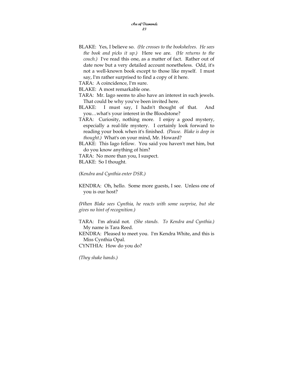BLAKE: Yes, I believe so. *(He crosses to the bookshelves. He sees the book and picks it up.)* Here we are. *(He returns to the couch.)* I've read this one, as a matter of fact. Rather out of date now but a very detailed account nonetheless. Odd, it's not a well-known book except to those like myself. I must say, I'm rather surprised to find a copy of it here.

TARA: A coincidence, I'm sure.

BLAKE: A most remarkable one.

- TARA: Mr. Iago seems to also have an interest in such jewels. That could be why you've been invited here.
- BLAKE: I must say, I hadn't thought of that. And you…what's your interest in the Bloodstone?
- TARA: Curiosity, nothing more. I enjoy a good mystery, especially a real-life mystery. I certainly look forward to reading your book when it's finished. *(Pause. Blake is deep in thought.)* What's on your mind, Mr. Howard?

BLAKE: This Iago fellow. You said you haven't met him, but do you know anything of him?

TARA: No more than you, I suspect.

BLAKE: So I thought.

*(Kendra and Cynthia enter DSR.)* 

KENDRA: Oh, hello. Some more guests, I see. Unless one of you is our host?

*(When Blake sees Cynthia, he reacts with some surprise, but she gives no hint of recognition.)* 

TARA: I'm afraid not. *(She stands. To Kendra and Cynthia.)*  My name is Tara Reed.

KENDRA: Pleased to meet you. I'm Kendra White, and this is Miss Cynthia Opal.

CYNTHIA: How do you do?

*(They shake hands.)*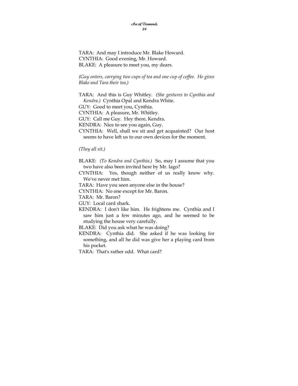TARA: And may I introduce Mr. Blake Howard. CYNTHIA: Good evening, Mr. Howard. BLAKE: A pleasure to meet you, my dears.

*(Guy enters, carrying two cups of tea and one cup of coffee. He gives Blake and Tara their tea.)* 

TARA: And this is Guy Whitley. *(She gestures to Cynthia and Kendra.)* Cynthia Opal and Kendra White.

GUY: Good to meet you, Cynthia.

CYNTHIA: A pleasure, Mr. Whitley.

GUY: Call me Guy. Hey there, Kendra.

KENDRA: Nice to see you again, Guy.

CYNTHIA: Well, shall we sit and get acquainted? Our host seems to have left us to our own devices for the moment.

*(They all sit.)* 

BLAKE: *(To Kendra and Cynthia.)* So, may I assume that you two have also been invited here by Mr. Iago?

CYNTHIA: Yes, though neither of us really know why. We've never met him.

TARA: Have you seen anyone else in the house?

CYNTHIA: No one except for Mr. Baron.

TARA: Mr. Baron?

GUY: Local card shark.

KENDRA: I don't like him. He frightens me. Cynthia and I saw him just a few minutes ago, and he seemed to be studying the house very carefully.

BLAKE: Did you ask what he was doing?

KENDRA: Cynthia did. She asked if he was looking for something, and all he did was give her a playing card from his pocket.

TARA: That's rather odd. What card?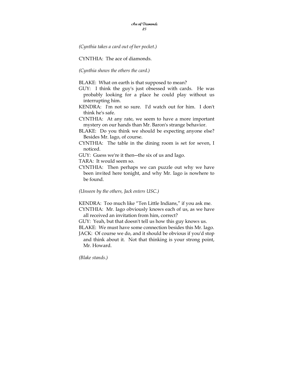*(Cynthia takes a card out of her pocket.)* 

CYNTHIA: The ace of diamonds.

*(Cynthia shows the others the card.)* 

BLAKE: What on earth is that supposed to mean?

- GUY: I think the guy's just obsessed with cards. He was probably looking for a place he could play without us interrupting him.
- KENDRA: I'm not so sure. I'd watch out for him. I don't think he's safe.
- CYNTHIA: At any rate, we seem to have a more important mystery on our hands than Mr. Baron's strange behavior.
- BLAKE: Do you think we should be expecting anyone else? Besides Mr. Iago, of course.
- CYNTHIA: The table in the dining room is set for seven, I noticed.

GUY: Guess we're it then―the six of us and Iago.

TARA: It would seem so.

CYNTHIA: Then perhaps we can puzzle out why we have been invited here tonight, and why Mr. Iago is nowhere to be found.

*(Unseen by the others, Jack enters USC.)* 

KENDRA: Too much like "Ten Little Indians," if you ask me. CYNTHIA: Mr. Iago obviously knows each of us, as we have

all received an invitation from him, correct?

GUY: Yeah, but that doesn't tell us how this guy knows us.

BLAKE: We must have some connection besides this Mr. Iago.

JACK: Of course we do, and it should be obvious if you'd stop and think about it. Not that thinking is your strong point, Mr. Howard.

*(Blake stands.)*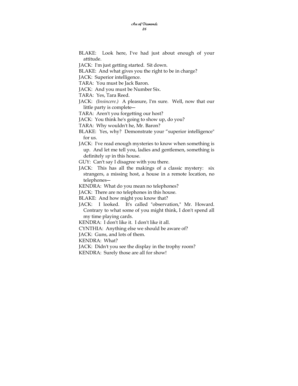BLAKE: Look here, I've had just about enough of your attitude.

JACK: I'm just getting started. Sit down.

BLAKE: And what gives you the right to be in charge?

JACK: Superior intelligence.

TARA: You must be Jack Baron.

JACK: And you must be Number Six.

TARA: Yes, Tara Reed.

JACK: *(Insincere.)* A pleasure, I'm sure. Well, now that our little party is complete―

TARA: Aren't you forgetting our host?

JACK: You think he's going to show up, do you?

TARA: Why wouldn't he, Mr. Baron?

- BLAKE: Yes, why? Demonstrate your "superior intelligence" for us.
- JACK: I've read enough mysteries to know when something is up. And let me tell you, ladies and gentlemen, something is definitely *up* in this house.

GUY: Can't say I disagree with you there.

JACK: This has all the makings of a classic mystery: six strangers, a missing host, a house in a remote location, no telephones―

KENDRA: What do you mean no telephones?

JACK: There are no telephones in this house.

BLAKE: And how might you know that?

JACK: I looked. It's called "observation," Mr. Howard. Contrary to what some of you might think, I don't spend all my time playing cards.

KENDRA: I don't like it. I don't like it all.

CYNTHIA: Anything else we should be aware of?

JACK: Guns, and lots of them.

KENDRA: What?

JACK: Didn't you see the display in the trophy room?

KENDRA: Surely those are all for show!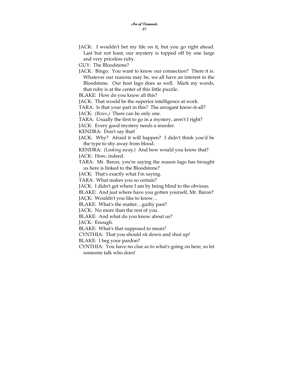GUY: The Bloodstone?

JACK: Bingo. You want to know our connection? There it is. Whatever our reasons may be, we all have an interest in the Bloodstone. Our host Iago does as well. Mark my words, that ruby is at the center of this little puzzle.

BLAKE: How do you know all this?

JACK: That would be the superior intelligence at work.

TARA: Is that your part in this? The arrogant know-it-all?

JACK: *(Bows.)* There can be only one.

TARA: Usually the first to go in a mystery, aren't I right?

JACK: Every good mystery needs a murder.

KENDRA: Don't say that!

JACK: Why? Afraid it will happen? I didn't think you'd be the type to shy away from blood.

KENDRA: *(Looking away.)* And how would you know that? JACK: How, indeed.

TARA: Mr. Baron, you're saying the reason Iago has brought us here is linked to the Bloodstone?

JACK: That's exactly what I'm saying.

TARA: What makes you so certain?

JACK: I didn't get where I am by being blind to the obvious.

BLAKE: And just where have you gotten yourself, Mr. Baron?

JACK: Wouldn't you like to know…

BLAKE: What's the matter…guilty past?

JACK: No more than the rest of you.

BLAKE: And what do you know about us?

JACK: Enough.

BLAKE: What's that supposed to mean?

CYNTHIA: That you should sit down and shut up!

BLAKE: I beg your pardon?

CYNTHIA: You have no clue as to what's going on here, so let someone talk who does!

JACK: I wouldn't bet my life on it, but you go right ahead. Last but not least, our mystery is topped off by one large and very priceless ruby.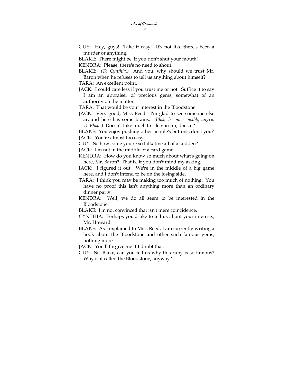- GUY: Hey, guys! Take it easy! It's not like there's been a murder or anything.
- BLAKE: There might be, if you don't shut your mouth!
- KENDRA: Please, there's no need to shout.
- BLAKE: *(To Cynthia.)* And you, why should we trust Mr. Baron when he refuses to tell us anything about himself?
- TARA: An excellent point.
- JACK: I could care less if you trust me or not. Suffice it to say I am an appraiser of precious gems, somewhat of an authority on the matter.
- TARA: That would be your interest in the Bloodstone.
- JACK: Very good, Miss Reed. I'm glad to see someone else around here has some brains. *(Blake becomes visibly angry. To Blake.)* Doesn't take much to rile you up, does it?
- BLAKE: You enjoy pushing other people's buttons, don't you? JACK: You're almost too easy.
- GUY: So how come you're so talkative all of a sudden?
- JACK: I'm not in the middle of a card game.
- KENDRA: How do you know so much about what's going on here, Mr. Baron? That is, if you don't mind my asking.
- JACK: I figured it out. We're in the middle of a big game here, and I don't intend to be on the losing side.
- TARA: I think you may be making too much of nothing. You have no proof this isn't anything more than an ordinary dinner party.
- KENDRA: Well, we do all seem to be interested in the Bloodstone.
- BLAKE: I'm not convinced that isn't mere coincidence.
- CYNTHIA: Perhaps you'd like to tell us about your interests, Mr. Howard.
- BLAKE: As I explained to Miss Reed, I am currently writing a book about the Bloodstone and other such famous gems, nothing more.
- JACK: You'll forgive me if I doubt that.
- GUY: So, Blake, can you tell us why this ruby is so famous? Why is it called the Bloodstone, anyway?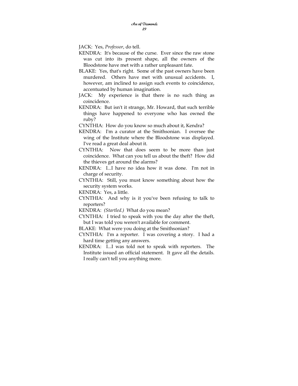JACK: Yes, *Professor*, do tell.

- KENDRA: It's because of the curse. Ever since the raw stone was cut into its present shape, all the owners of the Bloodstone have met with a rather unpleasant fate.
- BLAKE: Yes, that's right. Some of the past owners have been murdered. Others have met with unusual accidents. I, however, am inclined to assign such events to coincidence, accentuated by human imagination.
- JACK: My experience is that there is no such thing as coincidence.
- KENDRA: But isn't it strange, Mr. Howard, that such terrible things have happened to everyone who has owned the ruby?
- CYNTHIA: How do you know so much about it, Kendra?
- KENDRA: I'm a curator at the Smithsonian. I oversee the wing of the Institute where the Bloodstone was displayed. I've read a great deal about it.
- CYNTHIA: Now that does seem to be more than just coincidence. What can you tell us about the theft? How did the thieves get around the alarms?
- KENDRA: I...I have no idea how it was done. I'm not in charge of security.
- CYNTHIA: Still, you must know something about how the security system works.

KENDRA: Yes, a little.

- CYNTHIA: And why is it you've been refusing to talk to reporters?
- KENDRA: *(Startled.)* What do you mean?
- CYNTHIA: I tried to speak with you the day after the theft, but I was told you weren't available for comment.
- BLAKE: What were you doing at the Smithsonian?
- CYNTHIA: I'm a reporter. I was covering a story. I had a hard time getting any answers.
- KENDRA: I...I was told not to speak with reporters. The Institute issued an official statement. It gave all the details. I really can't tell you anything more.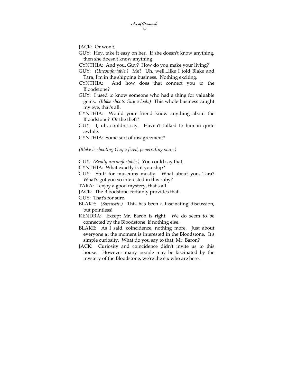JACK: Or won't.

GUY: Hey, take it easy on her. If she doesn't know anything, then she doesn't know anything.

CYNTHIA: And you, Guy? How do you make your living?

GUY: *(Uncomfortable.)* Me? Uh, well...like I told Blake and Tara, I'm in the shipping business. Nothing exciting.

- CYNTHIA: And how does that connect you to the Bloodstone?
- GUY: I used to know someone who had a thing for valuable gems. *(Blake shoots Guy a look.)* This whole business caught my eye, that's all.
- CYNTHIA: Would your friend know anything about the Bloodstone? Or the theft?
- GUY: I, uh, couldn't say. Haven't talked to him in quite awhile.

CYNTHIA: Some sort of disagreement?

*(Blake is shooting Guy a fixed, penetrating stare.)* 

GUY: *(Really uncomfortable.)* You could say that.

CYNTHIA: What exactly is it you ship?

GUY: Stuff for museums mostly. What about you, Tara? What's got you so interested in this ruby?

TARA: I enjoy a good mystery, that's all.

JACK: The Bloodstone certainly provides that.

GUY: That's for sure.

- BLAKE: *(Sarcastic.)* This has been a fascinating discussion, but pointless!
- KENDRA: Except Mr. Baron is right. We do seem to be connected by the Bloodstone, if nothing else.
- BLAKE: As I said, coincidence, nothing more. Just about everyone at the moment is interested in the Bloodstone. It's simple curiosity. What do you say to that, Mr. Baron?
- JACK: Curiosity and coincidence didn't invite us to this house. However many people may be fascinated by the mystery of the Bloodstone, we're the six who are here.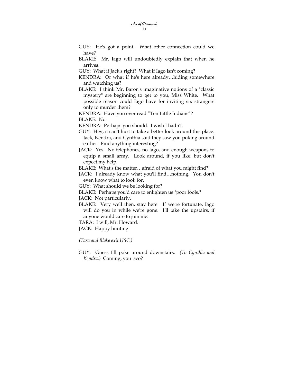- GUY: He's got a point. What other connection could we have?
- BLAKE: Mr. Iago will undoubtedly explain that when he arrives.
- GUY: What if Jack's right? What if Iago isn't coming?
- KENDRA: Or what if he's here already…hiding somewhere and watching us?
- BLAKE: I think Mr. Baron's imaginative notions of a "classic mystery" are beginning to get to you, Miss White. What possible reason could Iago have for inviting six strangers only to murder them?
- KENDRA: Have you ever read "Ten Little Indians"?

BLAKE: No.

- KENDRA: Perhaps you should. I wish I hadn't.
- GUY: Hey, it can't hurt to take a better look around this place. Jack, Kendra, and Cynthia said they saw you poking around earlier. Find anything interesting?
- JACK: Yes. No telephones, no Iago, and enough weapons to equip a small army. Look around, if you like, but don't expect my help.
- BLAKE: What's the matter…afraid of what you might find?
- JACK: I already know what you'll find…nothing. You don't even know what to look for.

GUY: What should we be looking for?

BLAKE: Perhaps you'd care to enlighten us "poor fools."

JACK: Not particularly.

- BLAKE: Very well then, stay here. If we're fortunate, Iago will do you in while we're gone. I'll take the upstairs, if anyone would care to join me.
- TARA: I will, Mr. Howard.
- JACK: Happy hunting.

*(Tara and Blake exit USC.)* 

GUY: Guess I'll poke around downstairs. *(To Cynthia and Kendra.)* Coming, you two?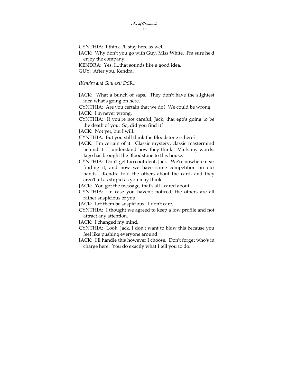CYNTHIA: I think I'll stay here as well. JACK: Why don't you go with Guy, Miss White. I'm sure he'd enjoy the company. KENDRA: Yes, I...that sounds like a good idea. GUY: After you, Kendra.

*(Kendra and Guy exit DSR.)* 

JACK: What a bunch of saps. They don't have the slightest idea what's going on here.

CYNTHIA: Are you certain that we do? We could be wrong.

JACK: I'm never wrong.

CYNTHIA: If you're not careful, Jack, that ego's going to be the death of you. So, did you find it?

JACK: Not yet, but I will.

CYNTHIA: But you still think the Bloodstone is here?

- JACK: I'm certain of it. Classic mystery, classic mastermind behind it. I understand how they think. Mark my words: Iago has brought the Bloodstone to this house.
- CYNTHIA: Don't get too confident, Jack. We're nowhere near finding it, and now we have some competition on our hands. Kendra told the others about the card, and they aren't all as stupid as you may think.

JACK: You got the message, that's all I cared about.

- CYNTHIA: In case you haven't noticed, the others are all rather suspicious of you.
- JACK: Let them be suspicious. I don't care.
- CYNTHIA: I thought we agreed to keep a low profile and not attract any attention.
- JACK: I changed my mind.
- CYNTHIA: Look, Jack, I don't want to blow this because you feel like pushing everyone around!
- JACK: I'll handle this however I choose. Don't forget who's in charge here. You do exactly what I tell you to do.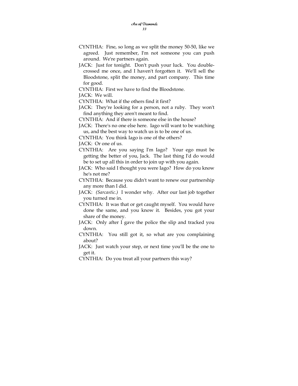- CYNTHIA: Fine, so long as we split the money 50-50, like we agreed. Just remember, I'm not someone you can push around. We're partners again.
- JACK: Just for tonight. Don't push your luck. You doublecrossed me once, and I haven't forgotten it. We'll sell the Bloodstone, split the money, and part company. This time for good.
- CYNTHIA: First we have to find the Bloodstone.

JACK: We will.

CYNTHIA: What if the others find it first?

JACK: They're looking for a person, not a ruby. They won't find anything they aren't meant to find.

CYNTHIA: And if there is someone else in the house?

JACK: There's no one else here. Iago will want to be watching us, and the best way to watch us is to be one of us.

CYNTHIA: You think Iago is one of the others?

JACK: Or one of us.

CYNTHIA: Are you saying I'm Iago? Your ego must be getting the better of you, Jack. The last thing I'd do would be to set up all this in order to join up with you again.

JACK: Who said I thought you were Iago? How do you know he's not me?

CYNTHIA: Because you didn't want to renew our partnership any more than I did.

JACK: *(Sarcastic.)* I wonder why. After our last job together you turned me in.

CYNTHIA: It was that or get caught myself. You would have done the same, and you know it. Besides, you got your share of the money.

- JACK: Only after I gave the police the slip and tracked you down.
- CYNTHIA: You still got it, so what are you complaining about?

JACK: Just watch your step, or next time you'll be the one to get it.

CYNTHIA: Do you treat all your partners this way?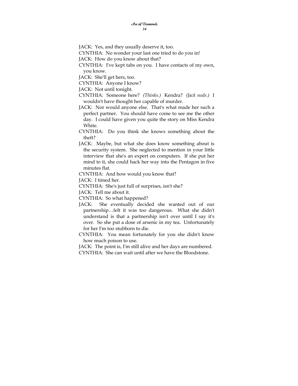JACK: Yes, and they usually deserve it, too.

CYNTHIA: No wonder your last one tried to do you in!

JACK: How do you know about that?

CYNTHIA: I've kept tabs on you. I have contacts of my own, you know.

JACK: She'll get hers, too.

CYNTHIA: Anyone I know?

JACK: Not until tonight.

CYNTHIA: Someone here? *(Thinks.)* Kendra? *(Jack nods.)* I wouldn't have thought her capable of murder.

- JACK: Nor would anyone else. That's what made her such a perfect partner. You should have come to see me the other day. I could have given you quite the story on Miss Kendra White.
- CYNTHIA: Do you think she knows something about the theft?
- JACK: Maybe, but what she does know something about is the security system. She neglected to mention in your little interview that she's an expert on computers. If she put her mind to it, she could hack her way into the Pentagon in five minutes flat.

CYNTHIA: And how would you know that?

JACK: I timed her.

CYNTHIA: She's just full of surprises, isn't she?

JACK: Tell me about it.

CYNTHIA: So what happened?

- JACK: She eventually decided she wanted out of our partnership…felt it was too dangerous. What she didn't understand is that a partnership isn't over until I say it's over. So she put a dose of arsenic in my tea. Unfortunately for her I'm too stubborn to die.
- CYNTHIA: You mean fortunately for you she didn't know how much poison to use.

JACK: The point is, I'm still alive and her days are numbered. CYNTHIA: She can wait until after we have the Bloodstone.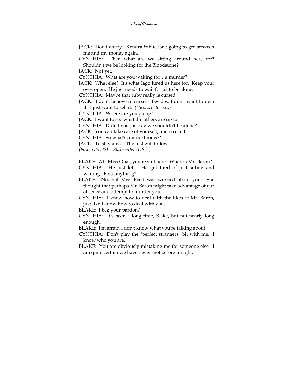- JACK: Don't worry. Kendra White isn't going to get between me and my money again.
- CYNTHIA: Then what are we sitting around here for? Shouldn't we be looking for the Bloodstone?

JACK: Not yet.

CYNTHIA: What are you waiting for…a murder?

JACK: What else? It's what Iago lured us here for. Keep your eyes open. He just needs to wait for us to be alone.

CYNTHIA: Maybe that ruby really is cursed.

JACK: I don't believe in curses. Besides, I don't want to own it. I just want to sell it. *(He starts to exit.)* 

CYNTHIA: Where are you going?

JACK: I want to see what the others are up to.

CYNTHIA: Didn't you just say we shouldn't be alone?

JACK: You can take care of yourself, and so can I.

CYNTHIA: So what's our next move?

JACK: To stay alive. The rest will follow.

*(Jack exits USL. Blake enters USC.)* 

BLAKE: Ah, Miss Opal, you're still here. Where's Mr. Baron?

CYNTHIA: He just left. He got tired of just sitting and waiting. Find anything?

BLAKE: No, but Miss Reed was worried about you. She thought that perhaps Mr. Baron might take advantage of our absence and attempt to murder you.

CYNTHIA: I know how to deal with the likes of Mr. Baron, just like I know how to deal with you.

BLAKE: I beg your pardon?

CYNTHIA: It's been a long time, Blake, but not nearly long enough.

BLAKE: I'm afraid I don't know what you're talking about.

CYNTHIA: Don't play the "perfect strangers" bit with me. I know who you are.

BLAKE: You are obviously mistaking me for someone else. I am quite certain we have never met before tonight.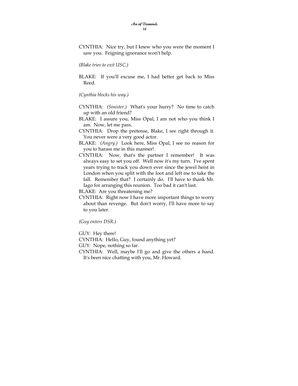CYNTHIA: Nice try, but I knew who you were the moment I saw you. Feigning ignorance won't help.

*(Blake tries to exit USC.)* 

BLAKE: If you'll excuse me, I had better get back to Miss Reed.

*(Cynthia blocks his way.)* 

- CYNTHIA: *(Sinister.)* What's your hurry? No time to catch up with an old friend?
- BLAKE: I assure you, Miss Opal, I am not who you think I am. Now, let me pass.
- CYNTHIA: Drop the pretense, Blake, I see right through it. You never were a very good actor.
- BLAKE: *(Angry.)* Look here, Miss Opal, I see no reason for you to harass me in this manner!
- CYNTHIA: Now, that's the partner I remember! It was always easy to set you off. Well now it's my turn. I've spent years trying to track you down ever since the jewel heist in London when you split with the loot and left me to take the fall. Remember that? I certainly do. I'll have to thank Mr. Iago for arranging this reunion. Too bad it can't last.

BLAKE: Are you threatening me?

CYNTHIA: Right now I have more important things to worry about than revenge. But don't worry, I'll have more to say to you later.

*(Guy enters DSR.)* 

GUY: Hey there!

CYNTHIA: Hello, Guy, found anything yet?

GUY: Nope, nothing so far.

CYNTHIA: Well, maybe I'll go and give the others a hand. It's been nice chatting with you, Mr. Howard.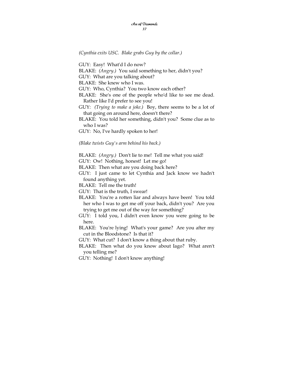*(Cynthia exits USC. Blake grabs Guy by the collar.)* 

GUY: Easy! What'd I do now?

BLAKE: *(Angry.)* You said something to her, didn't you?

GUY: What are you talking about?

BLAKE: She knew who I was.

GUY: Who, Cynthia? You two know each other?

BLAKE: She's one of the people who'd like to see me dead. Rather like I'd prefer to see you!

GUY: *(Trying to make a joke.)* Boy, there seems to be a lot of that going on around here, doesn't there?

BLAKE: You told her something, didn't you? Some clue as to who I was?

GUY: No, I've hardly spoken to her!

*(Blake twists Guy's arm behind his back.)* 

BLAKE: *(Angry.)* Don't lie to me! Tell me what you said!

GUY: Ow! Nothing, honest! Let me go!

BLAKE: Then what are you doing back here?

GUY: I just came to let Cynthia and Jack know we hadn't found anything yet.

BLAKE: Tell me the truth!

GUY: That is the truth, I swear!

BLAKE: You're a rotten liar and always have been! You told her who I was to get me off your back, didn't you? Are you trying to get me out of the way for something?

GUY: I told you, I didn't even know you were going to be here.

BLAKE: You're lying! What's your game? Are you after my cut in the Bloodstone? Is that it?

GUY: What cut? I don't know a thing about that ruby.

BLAKE: Then what do you know about Iago? What aren't you telling me?

GUY: Nothing! I don't know anything!